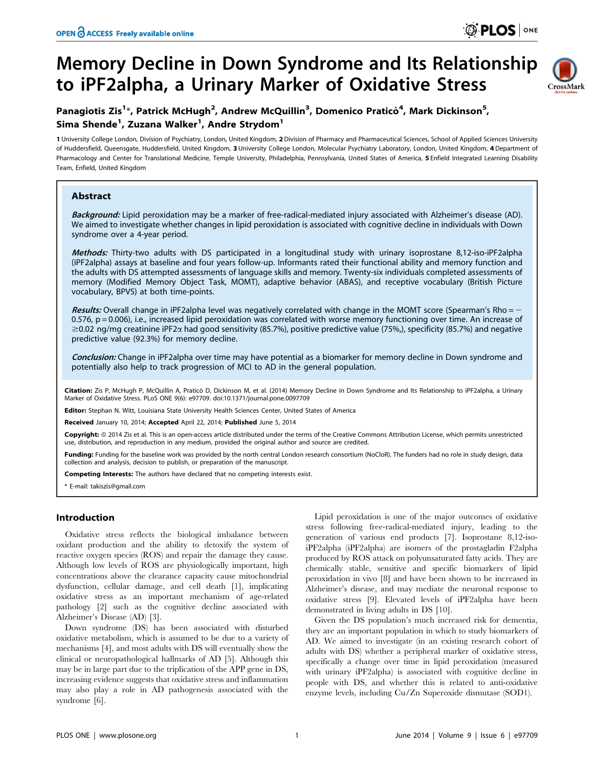# Memory Decline in Down Syndrome and Its Relationship to iPF2alpha, a Urinary Marker of Oxidative Stress



## Panagiotis Zis<sup>1</sup>\*, Patrick McHugh<sup>2</sup>, Andrew McQuillin<sup>3</sup>, Domenico Praticò<sup>4</sup>, Mark Dickinson<sup>5</sup>, Sima Shende<sup>1</sup>, Zuzana Walker<sup>1</sup>, Andre Strydom<sup>1</sup>

1 University College London, Division of Psychiatry, London, United Kingdom, 2 Division of Pharmacy and Pharmaceutical Sciences, School of Applied Sciences University of Huddersfield, Queensgate, Huddersfield, United Kingdom, 3 University College London, Molecular Psychiatry Laboratory, London, United Kingdom, 4 Department of Pharmacology and Center for Translational Medicine, Temple University, Philadelphia, Pennsylvania, United States of America, 5 Enfield Integrated Learning Disability Team, Enfield, United Kingdom

## Abstract

Background: Lipid peroxidation may be a marker of free-radical-mediated injury associated with Alzheimer's disease (AD). We aimed to investigate whether changes in lipid peroxidation is associated with cognitive decline in individuals with Down syndrome over a 4-year period.

Methods: Thirty-two adults with DS participated in a longitudinal study with urinary isoprostane 8,12-iso-iPF2alpha (iPF2alpha) assays at baseline and four years follow-up. Informants rated their functional ability and memory function and the adults with DS attempted assessments of language skills and memory. Twenty-six individuals completed assessments of memory (Modified Memory Object Task, MOMT), adaptive behavior (ABAS), and receptive vocabulary (British Picture vocabulary, BPVS) at both time-points.

Results: Overall change in iPF2alpha level was negatively correlated with change in the MOMT score (Spearman's Rho = -0.576, p = 0.006), i.e., increased lipid peroxidation was correlated with worse memory functioning over time. An increase of  $\geq$ 0.02 ng/mg creatinine iPF2 $\alpha$  had good sensitivity (85.7%), positive predictive value (75%), specificity (85.7%) and negative predictive value (92.3%) for memory decline.

Conclusion: Change in iPF2alpha over time may have potential as a biomarker for memory decline in Down syndrome and potentially also help to track progression of MCI to AD in the general population.

Citation: Zis P, McHugh P, McQuillin A, Praticò D, Dickinson M, et al. (2014) Memory Decline in Down Syndrome and Its Relationship to iPF2alpha, a Urinary Marker of Oxidative Stress. PLoS ONE 9(6): e97709. doi:10.1371/journal.pone.0097709

Editor: Stephan N. Witt, Louisiana State University Health Sciences Center, United States of America

Received January 10, 2014; Accepted April 22, 2014; Published June 5, 2014

Copyright:  $\circ$  2014 Zis et al. This is an open-access article distributed under the terms of the [Creative Commons Attribution License](http://creativecommons.org/licenses/by/4.0/), which permits unrestricted use, distribution, and reproduction in any medium, provided the original author and source are credited.

Funding: Funding for the baseline work was provided by the north central London research consortium (NoCloR). The funders had no role in study design, data collection and analysis, decision to publish, or preparation of the manuscript.

Competing Interests: The authors have declared that no competing interests exist.

\* E-mail: takiszis@gmail.com

## Introduction

Oxidative stress reflects the biological imbalance between oxidant production and the ability to detoxify the system of reactive oxygen species (ROS) and repair the damage they cause. Although low levels of ROS are physiologically important, high concentrations above the clearance capacity cause mitochondrial dysfunction, cellular damage, and cell death [1], implicating oxidative stress as an important mechanism of age-related pathology [2] such as the cognitive decline associated with Alzheimer's Disease (AD) [3].

Down syndrome (DS) has been associated with disturbed oxidative metabolism, which is assumed to be due to a variety of mechanisms [4], and most adults with DS will eventually show the clinical or neuropathological hallmarks of AD [5]. Although this may be in large part due to the triplication of the APP gene in DS, increasing evidence suggests that oxidative stress and inflammation may also play a role in AD pathogenesis associated with the syndrome [6].

Lipid peroxidation is one of the major outcomes of oxidative stress following free-radical-mediated injury, leading to the generation of various end products [7]. Isoprostane 8,12-isoiPF2alpha (iPF2alpha) are isomers of the prostagladin F2alpha produced by ROS attack on polyunsaturated fatty acids. They are chemically stable, sensitive and specific biomarkers of lipid peroxidation in vivo [8] and have been shown to be increased in Alzheimer's disease, and may mediate the neuronal response to oxidative stress [9]. Elevated levels of iPF2alpha have been demonstrated in living adults in DS [10].

Given the DS population's much increased risk for dementia, they are an important population in which to study biomarkers of AD. We aimed to investigate (in an existing research cohort of adults with DS) whether a peripheral marker of oxidative stress, specifically a change over time in lipid peroxidation (measured with urinary iPF2alpha) is associated with cognitive decline in people with DS, and whether this is related to anti-oxidative enzyme levels, including Cu/Zn Superoxide dismutase (SOD1).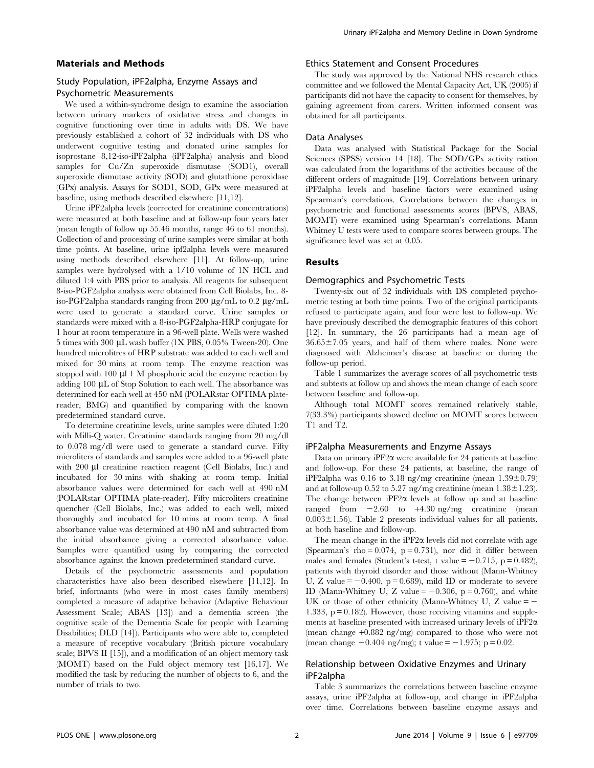#### Materials and Methods

## Study Population, iPF2alpha, Enzyme Assays and Psychometric Measurements

We used a within-syndrome design to examine the association between urinary markers of oxidative stress and changes in cognitive functioning over time in adults with DS. We have previously established a cohort of 32 individuals with DS who underwent cognitive testing and donated urine samples for isoprostane 8,12-iso-iPF2alpha (iPF2alpha) analysis and blood samples for Cu/Zn superoxide dismutase (SOD1), overall superoxide dismutase activity (SOD) and glutathione peroxidase (GPx) analysis. Assays for SOD1, SOD, GPx were measured at baseline, using methods described elsewhere [11,12].

Urine iPF2alpha levels (corrected for creatinine concentrations) were measured at both baseline and at follow-up four years later (mean length of follow up 55.46 months, range 46 to 61 months). Collection of and processing of urine samples were similar at both time points. At baseline, urine ipf2alpha levels were measured using methods described elsewhere [11]. At follow-up, urine samples were hydrolysed with a 1/10 volume of 1N HCL and diluted 1:4 with PBS prior to analysis. All reagents for subsequent 8-iso-PGF2alpha analysis were obtained from Cell Biolabs, Inc. 8 iso-PGF2alpha standards ranging from 200  $\mu$ g/mL to 0.2  $\mu$ g/mL were used to generate a standard curve. Urine samples or standards were mixed with a 8-iso-PGF2alpha-HRP conjugate for 1 hour at room temperature in a 96-well plate. Wells were washed  $5$  times with  $300 \mu L$  wash buffer (1X PBS,  $0.05\%$  Tween-20). One hundred microlitres of HRP substrate was added to each well and mixed for 30 mins at room temp. The enzyme reaction was stopped with  $100 \mu l$  1 M phosphoric acid the enzyme reaction by adding 100 µL of Stop Solution to each well. The absorbance was determined for each well at 450 nM (POLARstar OPTIMA platereader, BMG) and quantified by comparing with the known predetermined standard curve.

To determine creatinine levels, urine samples were diluted 1:20 with Milli-Q water. Creatinine standards ranging from 20 mg/dl to 0.078 mg/dl were used to generate a standard curve. Fifty microliters of standards and samples were added to a 96-well plate with 200 µl creatinine reaction reagent (Cell Biolabs, Inc.) and incubated for 30 mins with shaking at room temp. Initial absorbance values were determined for each well at 490 nM (POLARstar OPTIMA plate-reader). Fifty microliters creatinine quencher (Cell Biolabs, Inc.) was added to each well, mixed thoroughly and incubated for 10 mins at room temp. A final absorbance value was determined at 490 nM and subtracted from the initial absorbance giving a corrected absorbance value. Samples were quantified using by comparing the corrected absorbance against the known predetermined standard curve.

Details of the psychometric assessments and population characteristics have also been described elsewhere [11,12]. In brief, informants (who were in most cases family members) completed a measure of adaptive behavior (Adaptive Behaviour Assessment Scale; ABAS [13]) and a dementia screen (the cognitive scale of the Dementia Scale for people with Learning Disabilities; DLD [14]). Participants who were able to, completed a measure of receptive vocabulary (British picture vocabulary scale; BPVS II [15]), and a modification of an object memory task (MOMT) based on the Fuld object memory test [16,17]. We modified the task by reducing the number of objects to 6, and the number of trials to two.

#### Ethics Statement and Consent Procedures

The study was approved by the National NHS research ethics committee and we followed the Mental Capacity Act, UK (2005) if participants did not have the capacity to consent for themselves, by gaining agreement from carers. Written informed consent was obtained for all participants.

## Data Analyses

Data was analysed with Statistical Package for the Social Sciences (SPSS) version 14 [18]. The SOD/GPx activity ration was calculated from the logarithms of the activities because of the different orders of magnitude [19]. Correlations between urinary iPF2alpha levels and baseline factors were examined using Spearman's correlations. Correlations between the changes in psychometric and functional assessments scores (BPVS, ABAS, MOMT) were examined using Spearman's correlations. Mann Whitney U tests were used to compare scores between groups. The significance level was set at 0.05.

#### Results

#### Demographics and Psychometric Tests

Twenty-six out of 32 individuals with DS completed psychometric testing at both time points. Two of the original participants refused to participate again, and four were lost to follow-up. We have previously described the demographic features of this cohort [12]. In summary, the 26 participants had a mean age of  $36.65\pm7.05$  years, and half of them where males. None were diagnosed with Alzheimer's disease at baseline or during the follow-up period.

Table 1 summarizes the average scores of all psychometric tests and subtests at follow up and shows the mean change of each score between baseline and follow-up.

Although total MOMT scores remained relatively stable, 7(33.3%) participants showed decline on MOMT scores between T1 and T2.

#### iPF2alpha Measurements and Enzyme Assays

Data on urinary iPF2 $\alpha$  were available for 24 patients at baseline and follow-up. For these 24 patients, at baseline, the range of iPF2alpha was 0.16 to 3.18 ng/mg creatinine (mean  $1.39\pm0.79$ ) and at follow-up 0.52 to 5.27 ng/mg creatinine (mean  $1.38 \pm 1.23$ ). The change between  $iPF2\alpha$  levels at follow up and at baseline ranged from  $-2.60$  to  $+4.30$  ng/mg creatinine (mean  $0.003 \pm 1.56$ ). Table 2 presents individual values for all patients, at both baseline and follow-up.

The mean change in the iPF2 $\alpha$  levels did not correlate with age (Spearman's rho =  $0.074$ , p =  $0.731$ ), nor did it differ between males and females (Student's t-test, t value  $= -0.715$ , p = 0.482), patients with thyroid disorder and those without (Mann-Whitney U, Z value  $= -0.400$ , p = 0.689), mild ID or moderate to severe ID (Mann-Whitney U, Z value  $= -0.306$ , p = 0.760), and white UK or those of other ethnicity (Mann-Whitney U, Z value  $=$   $-$ 1.333,  $p = 0.182$ . However, those receiving vitamins and supplements at baseline presented with increased urinary levels of  $iPF2\alpha$ (mean change +0.882 ng/mg) compared to those who were not (mean change  $-0.404$  ng/mg); t value  $= -1.975$ ; p = 0.02.

## Relationship between Oxidative Enzymes and Urinary iPF2alpha

Table 3 summarizes the correlations between baseline enzyme assays, urine iPF2alpha at follow-up, and change in iPF2alpha over time. Correlations between baseline enzyme assays and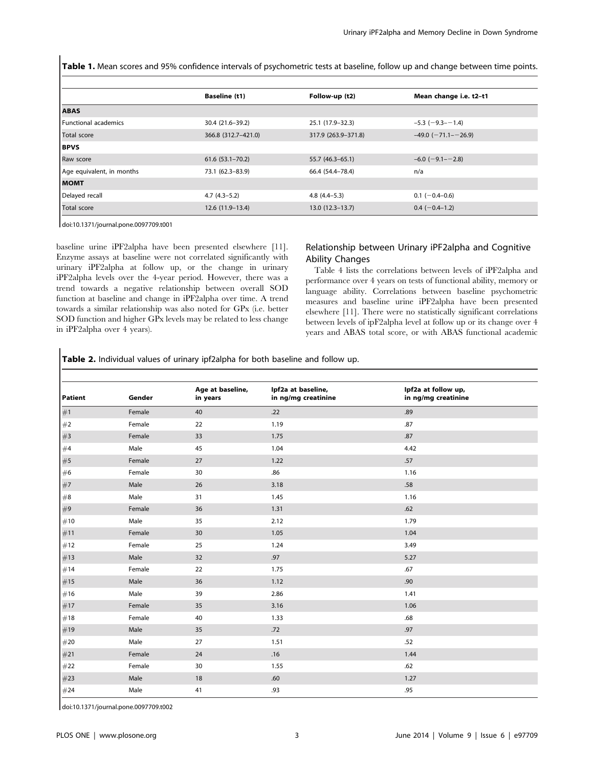Table 1. Mean scores and 95% confidence intervals of psychometric tests at baseline, follow up and change between time points.

|                           | <b>Baseline (t1)</b> | Follow-up (t2)      | Mean change i.e. t2-t1      |
|---------------------------|----------------------|---------------------|-----------------------------|
| <b>ABAS</b>               |                      |                     |                             |
| Functional academics      | 30.4 (21.6-39.2)     | 25.1 (17.9-32.3)    | $-5.3$ ( $-9.3 - -1.4$ )    |
| Total score               | 366.8 (312.7-421.0)  | 317.9 (263.9-371.8) | $-49.0$ ( $-71.1$ $-26.9$ ) |
| <b>BPVS</b>               |                      |                     |                             |
| Raw score                 | $61.6(53.1 - 70.2)$  | 55.7 (46.3–65.1)    | $-6.0$ ( $-9.1$ - $-2.8$ )  |
| Age equivalent, in months | 73.1 (62.3-83.9)     | 66.4 (54.4-78.4)    | n/a                         |
| <b>MOMT</b>               |                      |                     |                             |
| Delayed recall            | $4.7(4.3-5.2)$       | $4.8(4.4-5.3)$      | $0.1$ (-0.4-0.6)            |
| <b>Total score</b>        | 12.6 (11.9-13.4)     | $13.0(12.3-13.7)$   | $0.4 (-0.4 - 1.2)$          |

doi:10.1371/journal.pone.0097709.t001

baseline urine iPF2alpha have been presented elsewhere [11]. Enzyme assays at baseline were not correlated significantly with urinary iPF2alpha at follow up, or the change in urinary iPF2alpha levels over the 4-year period. However, there was a trend towards a negative relationship between overall SOD function at baseline and change in iPF2alpha over time. A trend towards a similar relationship was also noted for GPx (i.e. better SOD function and higher GPx levels may be related to less change in iPF2alpha over 4 years).

## Relationship between Urinary iPF2alpha and Cognitive Ability Changes

Table 4 lists the correlations between levels of iPF2alpha and performance over 4 years on tests of functional ability, memory or language ability. Correlations between baseline psychometric measures and baseline urine iPF2alpha have been presented elsewhere [11]. There were no statistically significant correlations between levels of ipF2alpha level at follow up or its change over 4 years and ABAS total score, or with ABAS functional academic

Table 2. Individual values of urinary ipf2alpha for both baseline and follow up.

| <b>Patient</b> | Gender | Age at baseline,<br>in years | Ipf2a at baseline,<br>in ng/mg creatinine | Ipf2a at follow up,<br>in ng/mg creatinine |  |
|----------------|--------|------------------------------|-------------------------------------------|--------------------------------------------|--|
| #1             | Female | 40                           | .22                                       | .89                                        |  |
| #2             | Female | 22                           | 1.19                                      | .87                                        |  |
| #3             | Female | 33                           | 1.75                                      | .87                                        |  |
| #4             | Male   | 45                           | 1.04                                      | 4.42                                       |  |
| #5             | Female | 27                           | 1.22                                      | .57                                        |  |
| #6             | Female | 30                           | .86                                       | 1.16                                       |  |
| #7             | Male   | 26                           | 3.18                                      | .58                                        |  |
| $\#\mathbf{8}$ | Male   | 31                           | 1.45                                      | 1.16                                       |  |
| #9             | Female | 36                           | 1.31                                      | .62                                        |  |
| #10            | Male   | 35                           | 2.12                                      | 1.79                                       |  |
| #11            | Female | 30                           | 1.05                                      | 1.04                                       |  |
| #12            | Female | 25                           | 1.24                                      | 3.49                                       |  |
| #13            | Male   | 32                           | .97                                       | 5.27                                       |  |
| #14            | Female | 22                           | 1.75                                      | .67                                        |  |
| #15            | Male   | 36                           | 1.12                                      | .90                                        |  |
| #16            | Male   | 39                           | 2.86                                      | 1.41                                       |  |
| #17            | Female | 35                           | 3.16                                      | 1.06                                       |  |
| #18            | Female | 40                           | 1.33                                      | .68                                        |  |
| #19            | Male   | 35                           | .72                                       | .97                                        |  |
| #20            | Male   | 27                           | 1.51                                      | .52                                        |  |
| #21            | Female | 24                           | .16                                       | 1.44                                       |  |
| #22            | Female | 30                           | 1.55                                      | .62                                        |  |
| #23            | Male   | 18                           | .60                                       | 1.27                                       |  |
| #24            | Male   | 41                           | .93                                       | .95                                        |  |
|                |        |                              |                                           |                                            |  |

doi:10.1371/journal.pone.0097709.t002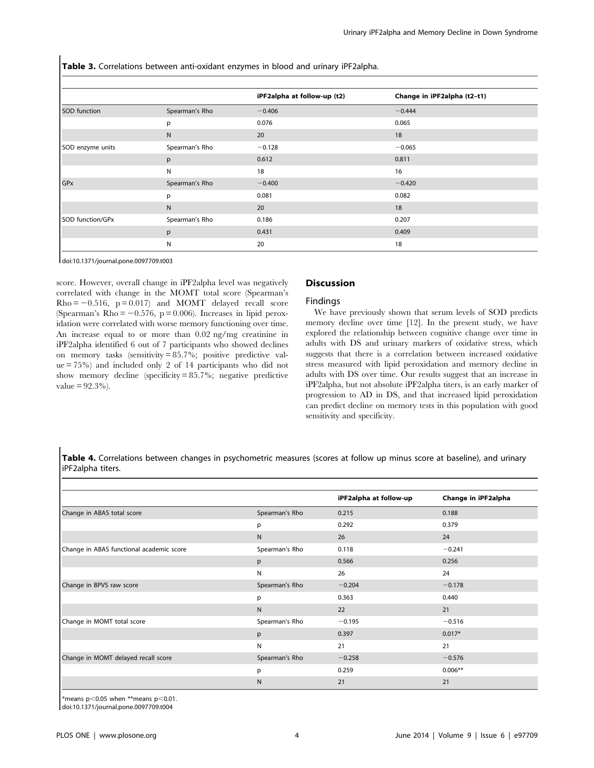Table 3. Correlations between anti-oxidant enzymes in blood and urinary iPF2alpha.

|                  |                | iPF2alpha at follow-up (t2) | Change in iPF2alpha (t2-t1) |
|------------------|----------------|-----------------------------|-----------------------------|
| SOD function     | Spearman's Rho | $-0.406$                    | $-0.444$                    |
|                  | p              | 0.076                       | 0.065                       |
|                  | N.             | 20                          | 18                          |
| SOD enzyme units | Spearman's Rho | $-0.128$                    | $-0.065$                    |
|                  | p              | 0.612                       | 0.811                       |
|                  | N              | 18                          | 16                          |
| GPx              | Spearman's Rho | $-0.400$                    | $-0.420$                    |
|                  | p              | 0.081                       | 0.082                       |
|                  | N              | 20                          | 18                          |
| SOD function/GPx | Spearman's Rho | 0.186                       | 0.207                       |
|                  | p              | 0.431                       | 0.409                       |
|                  | N              | 20                          | 18                          |

doi:10.1371/journal.pone.0097709.t003

score. However, overall change in iPF2alpha level was negatively correlated with change in the MOMT total score (Spearman's  $Rho = -0.516$ ,  $p = 0.017$  and MOMT delayed recall score (Spearman's Rho  $= -0.576$ , p  $= 0.006$ ). Increases in lipid peroxidation were correlated with worse memory functioning over time. An increase equal to or more than 0.02 ng/mg creatinine in iPF2alpha identified 6 out of 7 participants who showed declines on memory tasks (sensitivity = 85.7%; positive predictive value = 75%) and included only 2 of 14 participants who did not show memory decline (specificity = 85.7%; negative predictive  $value = 92.3\%$ ).

## **Discussion**

#### Findings

We have previously shown that serum levels of SOD predicts memory decline over time [12]. In the present study, we have explored the relationship between cognitive change over time in adults with DS and urinary markers of oxidative stress, which suggests that there is a correlation between increased oxidative stress measured with lipid peroxidation and memory decline in adults with DS over time. Our results suggest that an increase in iPF2alpha, but not absolute iPF2alpha titers, is an early marker of progression to AD in DS, and that increased lipid peroxidation can predict decline on memory tests in this population with good sensitivity and specificity.

Table 4. Correlations between changes in psychometric measures (scores at follow up minus score at baseline), and urinary iPF2alpha titers.

|                                          |                | iPF2alpha at follow-up | Change in iPF2alpha |
|------------------------------------------|----------------|------------------------|---------------------|
| Change in ABAS total score               | Spearman's Rho | 0.215                  | 0.188               |
|                                          | p              | 0.292                  | 0.379               |
|                                          | N              | 26                     | 24                  |
| Change in ABAS functional academic score | Spearman's Rho | 0.118                  | $-0.241$            |
|                                          | p              | 0.566                  | 0.256               |
|                                          | N              | 26                     | 24                  |
| Change in BPVS raw score                 | Spearman's Rho | $-0.204$               | $-0.178$            |
|                                          | p              | 0.363                  | 0.440               |
|                                          | N              | 22                     | 21                  |
| Change in MOMT total score               | Spearman's Rho | $-0.195$               | $-0.516$            |
|                                          | p              | 0.397                  | $0.017*$            |
|                                          | N              | 21                     | 21                  |
| Change in MOMT delayed recall score      | Spearman's Rho | $-0.258$               | $-0.576$            |
|                                          | p              | 0.259                  | $0.006**$           |
|                                          | N              | 21                     | 21                  |

\*means  $p<0.05$  when \*\*means  $p<0.01$ .

doi:10.1371/journal.pone.0097709.t004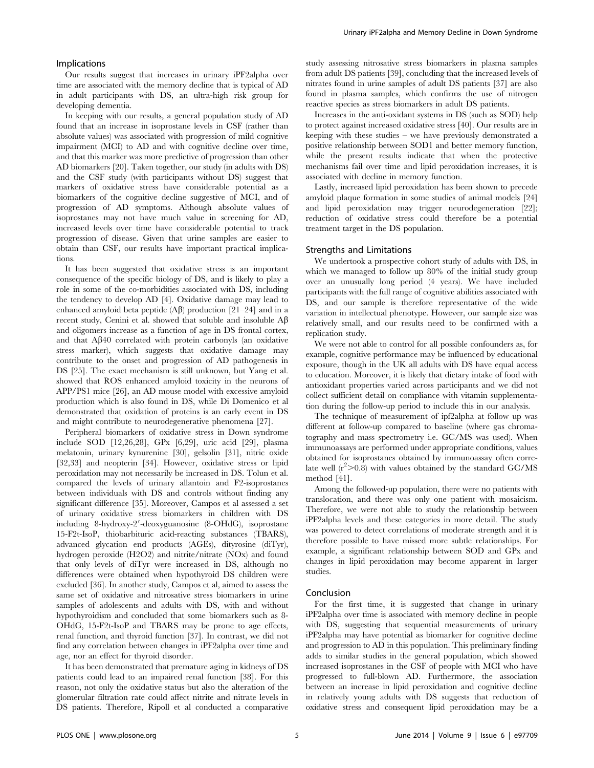#### Implications

Our results suggest that increases in urinary iPF2alpha over time are associated with the memory decline that is typical of AD in adult participants with DS, an ultra-high risk group for developing dementia.

In keeping with our results, a general population study of AD found that an increase in isoprostane levels in CSF (rather than absolute values) was associated with progression of mild cognitive impairment (MCI) to AD and with cognitive decline over time, and that this marker was more predictive of progression than other AD biomarkers [20]. Taken together, our study (in adults with DS) and the CSF study (with participants without DS) suggest that markers of oxidative stress have considerable potential as a biomarkers of the cognitive decline suggestive of MCI, and of progression of AD symptoms. Although absolute values of isoprostanes may not have much value in screening for AD, increased levels over time have considerable potential to track progression of disease. Given that urine samples are easier to obtain than CSF, our results have important practical implications.

It has been suggested that oxidative stress is an important consequence of the specific biology of DS, and is likely to play a role in some of the co-morbidities associated with DS, including the tendency to develop AD [4]. Oxidative damage may lead to enhanced amyloid beta peptide  $(AB)$  production  $[21-24]$  and in a recent study, Cenini et al. showed that soluble and insoluble  $\mathbf{A}\mathbf{\beta}$ and oligomers increase as a function of age in DS frontal cortex, and that AB40 correlated with protein carbonyls (an oxidative stress marker), which suggests that oxidative damage may contribute to the onset and progression of AD pathogenesis in DS [25]. The exact mechanism is still unknown, but Yang et al. showed that ROS enhanced amyloid toxicity in the neurons of APP/PS1 mice [26], an AD mouse model with excessive amyloid production which is also found in DS, while Di Domenico et al demonstrated that oxidation of proteins is an early event in DS and might contribute to neurodegenerative phenomena [27].

Peripheral biomarkers of oxidative stress in Down syndrome include SOD [12,26,28], GPx [6,29], uric acid [29], plasma melatonin, urinary kynurenine [30], gelsolin [31], nitric oxide [32,33] and neopterin [34]. However, oxidative stress or lipid peroxidation may not necessarily be increased in DS. Tolun et al. compared the levels of urinary allantoin and F2-isoprostanes between individuals with DS and controls without finding any significant difference [35]. Moreover, Campos et al assessed a set of urinary oxidative stress biomarkers in children with DS including 8-hydroxy-2'-deoxyguanosine  $(8\text{-}OHdG)$ , isoprostane 15-F2t-IsoP, thiobarbituric acid-reacting substances (TBARS), advanced glycation end products (AGEs), dityrosine (diTyr), hydrogen peroxide (H2O2) and nitrite/nitrate (NOx) and found that only levels of diTyr were increased in DS, although no differences were obtained when hypothyroid DS children were excluded [36]. In another study, Campos et al, aimed to assess the same set of oxidative and nitrosative stress biomarkers in urine samples of adolescents and adults with DS, with and without hypothyroidism and concluded that some biomarkers such as 8- OHdG, 15-F2t-IsoP and TBARS may be prone to age effects, renal function, and thyroid function [37]. In contrast, we did not find any correlation between changes in iPF2alpha over time and age, nor an effect for thyroid disorder.

It has been demonstrated that premature aging in kidneys of DS patients could lead to an impaired renal function [38]. For this reason, not only the oxidative status but also the alteration of the glomerular filtration rate could affect nitrite and nitrate levels in DS patients. Therefore, Ripoll et al conducted a comparative study assessing nitrosative stress biomarkers in plasma samples from adult DS patients [39], concluding that the increased levels of nitrates found in urine samples of adult DS patients [37] are also found in plasma samples, which confirms the use of nitrogen reactive species as stress biomarkers in adult DS patients.

Increases in the anti-oxidant systems in DS (such as SOD) help to protect against increased oxidative stress [40]. Our results are in keeping with these studies – we have previously demonstrated a positive relationship between SOD1 and better memory function, while the present results indicate that when the protective mechanisms fail over time and lipid peroxidation increases, it is associated with decline in memory function.

Lastly, increased lipid peroxidation has been shown to precede amyloid plaque formation in some studies of animal models [24] and lipid peroxidation may trigger neurodegeneration [22]; reduction of oxidative stress could therefore be a potential treatment target in the DS population.

#### Strengths and Limitations

We undertook a prospective cohort study of adults with DS, in which we managed to follow up 80% of the initial study group over an unusually long period (4 years). We have included participants with the full range of cognitive abilities associated with DS, and our sample is therefore representative of the wide variation in intellectual phenotype. However, our sample size was relatively small, and our results need to be confirmed with a replication study.

We were not able to control for all possible confounders as, for example, cognitive performance may be influenced by educational exposure, though in the UK all adults with DS have equal access to education. Moreover, it is likely that dietary intake of food with antioxidant properties varied across participants and we did not collect sufficient detail on compliance with vitamin supplementation during the follow-up period to include this in our analysis.

The technique of measurement of ipf2alpha at follow up was different at follow-up compared to baseline (where gas chromatography and mass spectrometry i.e. GC/MS was used). When immunoassays are performed under appropriate conditions, values obtained for isoprostanes obtained by immunoassay often correlate well  $(r^2 > 0.8)$  with values obtained by the standard GC/MS method [41].

Among the followed-up population, there were no patients with translocation, and there was only one patient with mosaicism. Therefore, we were not able to study the relationship between iPF2alpha levels and these categories in more detail. The study was powered to detect correlations of moderate strength and it is therefore possible to have missed more subtle relationships. For example, a significant relationship between SOD and GPx and changes in lipid peroxidation may become apparent in larger studies.

#### Conclusion

For the first time, it is suggested that change in urinary iPF2alpha over time is associated with memory decline in people with DS, suggesting that sequential measurements of urinary iPF2alpha may have potential as biomarker for cognitive decline and progression to AD in this population. This preliminary finding adds to similar studies in the general population, which showed increased isoprostanes in the CSF of people with MCI who have progressed to full-blown AD. Furthermore, the association between an increase in lipid peroxidation and cognitive decline in relatively young adults with DS suggests that reduction of oxidative stress and consequent lipid peroxidation may be a